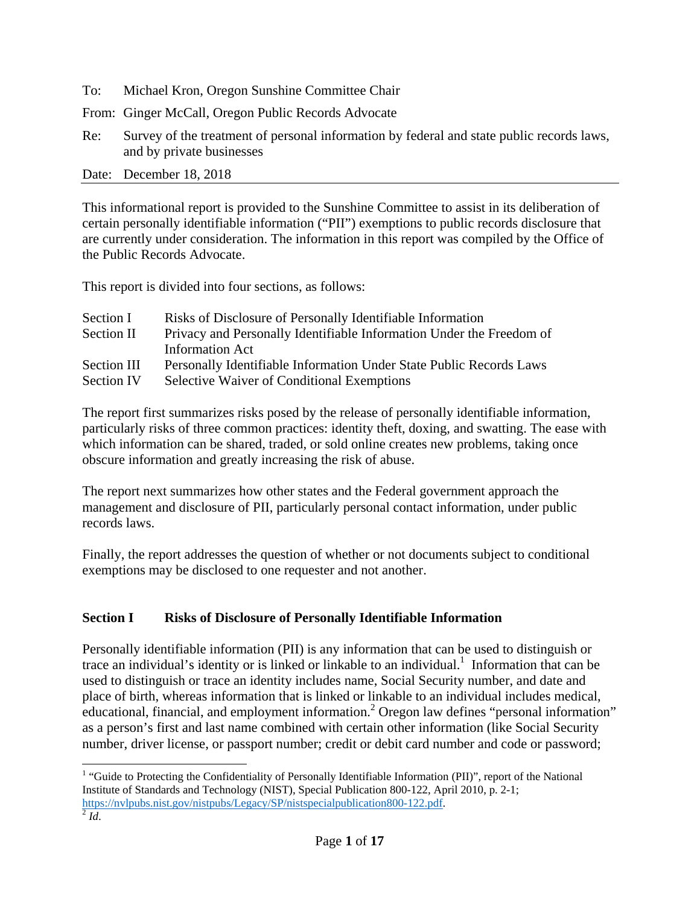- To: Michael Kron, Oregon Sunshine Committee Chair
- From: Ginger McCall, Oregon Public Records Advocate
- Re: Survey of the treatment of personal information by federal and state public records laws, and by private businesses
- Date: December 18, 2018

This informational report is provided to the Sunshine Committee to assist in its deliberation of certain personally identifiable information ("PII") exemptions to public records disclosure that are currently under consideration. The information in this report was compiled by the Office of the Public Records Advocate.

This report is divided into four sections, as follows:

| Section I   | Risks of Disclosure of Personally Identifiable Information           |
|-------------|----------------------------------------------------------------------|
| Section II  | Privacy and Personally Identifiable Information Under the Freedom of |
|             | <b>Information Act</b>                                               |
| Section III | Personally Identifiable Information Under State Public Records Laws  |
| Section IV  | <b>Selective Waiver of Conditional Exemptions</b>                    |

The report first summarizes risks posed by the release of personally identifiable information, particularly risks of three common practices: identity theft, doxing, and swatting. The ease with which information can be shared, traded, or sold online creates new problems, taking once obscure information and greatly increasing the risk of abuse.

The report next summarizes how other states and the Federal government approach the management and disclosure of PII, particularly personal contact information, under public records laws.

Finally, the report addresses the question of whether or not documents subject to conditional exemptions may be disclosed to one requester and not another.

#### **Section I Risks of Disclosure of Personally Identifiable Information**

Personally identifiable information (PII) is any information that can be used to distinguish or trace an individual's identity or is linked or linkable to an individual.<sup>1</sup> Information that can be used to distinguish or trace an identity includes name, Social Security number, and date and place of birth, whereas information that is linked or linkable to an individual includes medical, educational, financial, and employment information.<sup>2</sup> Oregon law defines "personal information" as a person's first and last name combined with certain other information (like Social Security number, driver license, or passport number; credit or debit card number and code or password;

<sup>&</sup>lt;sup>1</sup> "Guide to Protecting the Confidentiality of Personally Identifiable Information (PII)", report of the National Institute of Standards and Technology (NIST), Special Publication 800-122, April 2010, p. 2-1; https://nvlpubs.nist.gov/nistpubs/Legacy/SP/nistspecialpublication800-122.pdf.<sup>2</sup> *Id*.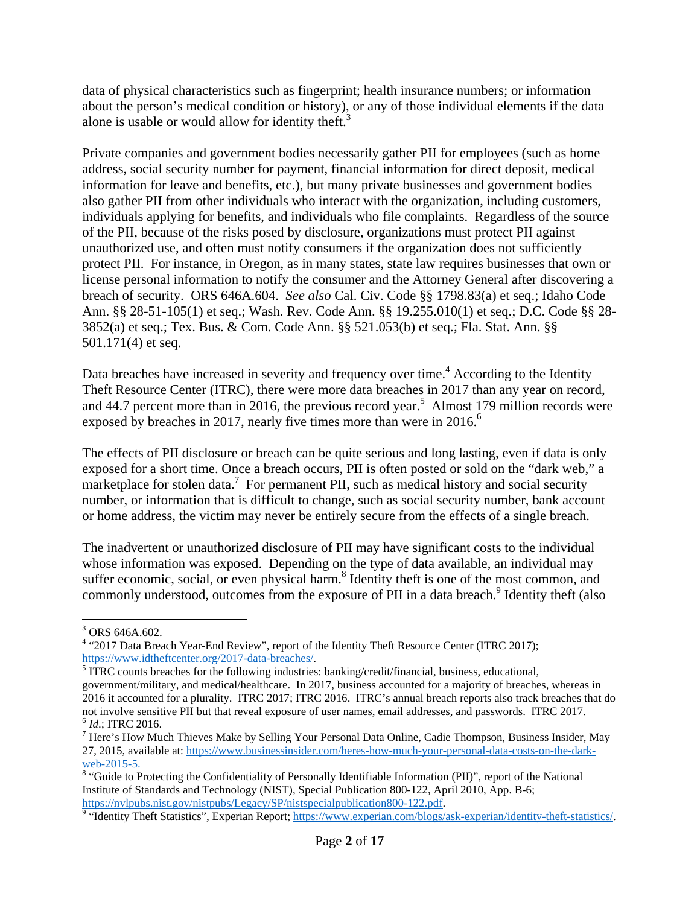data of physical characteristics such as fingerprint; health insurance numbers; or information about the person's medical condition or history), or any of those individual elements if the data alone is usable or would allow for identity theft. $3$ 

Private companies and government bodies necessarily gather PII for employees (such as home address, social security number for payment, financial information for direct deposit, medical information for leave and benefits, etc.), but many private businesses and government bodies also gather PII from other individuals who interact with the organization, including customers, individuals applying for benefits, and individuals who file complaints. Regardless of the source of the PII, because of the risks posed by disclosure, organizations must protect PII against unauthorized use, and often must notify consumers if the organization does not sufficiently protect PII. For instance, in Oregon, as in many states, state law requires businesses that own or license personal information to notify the consumer and the Attorney General after discovering a breach of security. ORS 646A.604. *See also* Cal. Civ. Code §§ 1798.83(a) et seq.; Idaho Code Ann. §§ 28-51-105(1) et seq.; Wash. Rev. Code Ann. §§ 19.255.010(1) et seq.; D.C. Code §§ 28- 3852(a) et seq.; Tex. Bus. & Com. Code Ann. §§ 521.053(b) et seq.; Fla. Stat. Ann. §§ 501.171(4) et seq.

Data breaches have increased in severity and frequency over time.<sup>4</sup> According to the Identity Theft Resource Center (ITRC), there were more data breaches in 2017 than any year on record, and 44.7 percent more than in 2016, the previous record year.<sup>5</sup> Almost 179 million records were exposed by breaches in 2017, nearly five times more than were in  $2016$ .<sup>6</sup>

The effects of PII disclosure or breach can be quite serious and long lasting, even if data is only exposed for a short time. Once a breach occurs, PII is often posted or sold on the "dark web," a marketplace for stolen data.<sup>7</sup> For permanent PII, such as medical history and social security number, or information that is difficult to change, such as social security number, bank account or home address, the victim may never be entirely secure from the effects of a single breach.

The inadvertent or unauthorized disclosure of PII may have significant costs to the individual whose information was exposed. Depending on the type of data available, an individual may suffer economic, social, or even physical harm.<sup>8</sup> Identity theft is one of the most common, and commonly understood, outcomes from the exposure of PII in a data breach.<sup>9</sup> Identity theft (also

  $3$  ORS 646A.602.

<sup>&</sup>lt;sup>4</sup> "2017 Data Breach Year-End Review", report of the Identity Theft Resource Center (ITRC 2017); https://www.idtheftcenter.org/2017-data-breaches/.<br><sup>5</sup> ITRC counts breaches for the following industries: banking/credit/financial, business, educational,

government/military, and medical/healthcare. In 2017, business accounted for a majority of breaches, whereas in 2016 it accounted for a plurality. ITRC 2017; ITRC 2016. ITRC's annual breach reports also track breaches that do not involve sensitive PII but that reveal exposure of user names, email addresses, and passwords. ITRC 2017. <sup>6</sup> *Id*.; ITRC 2016.

<sup>&</sup>lt;sup>7</sup> Here's How Much Thieves Make by Selling Your Personal Data Online, Cadie Thompson, Business Insider, May 27, 2015, available at: https://www.businessinsider.com/heres-how-much-your-personal-data-costs-on-the-darkweb-2015-5.

<sup>&</sup>lt;sup>8</sup> "Guide to Protecting the Confidentiality of Personally Identifiable Information (PII)", report of the National Institute of Standards and Technology (NIST), Special Publication 800-122, April 2010, App. B-6;

https://nvlpubs.nist.gov/nistpubs/Legacy/SP/nistspecialpublication800-122.pdf.<br><sup>9</sup> "Identity Theft Statistics", Experian Report; https://www.experian.com/blogs/ask-experian/identity-theft-statistics/.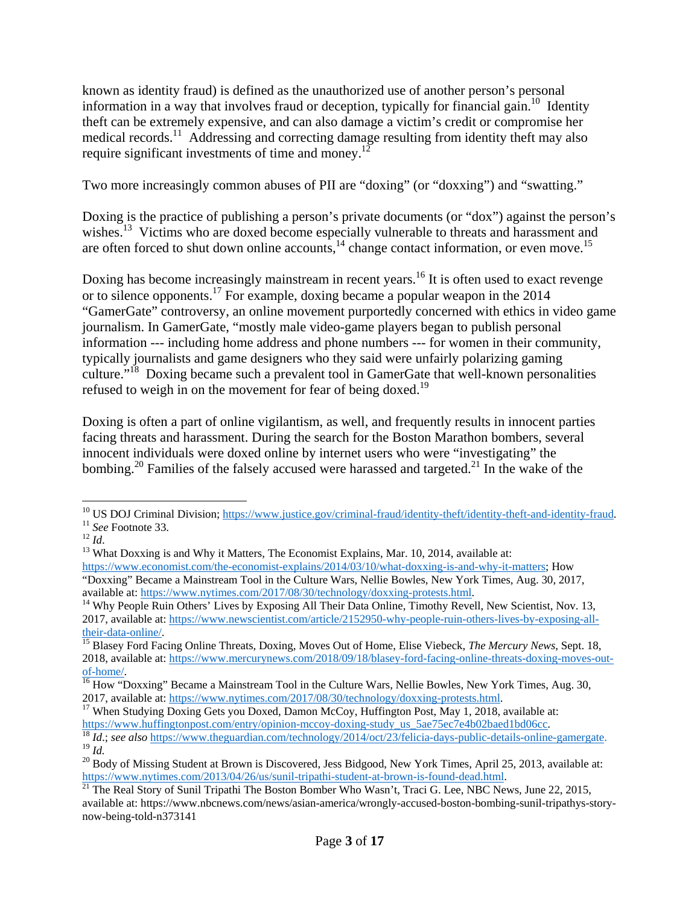known as identity fraud) is defined as the unauthorized use of another person's personal information in a way that involves fraud or deception, typically for financial gain.<sup>10</sup> Identity theft can be extremely expensive, and can also damage a victim's credit or compromise her medical records.11 Addressing and correcting damage resulting from identity theft may also require significant investments of time and money.<sup>12</sup>

Two more increasingly common abuses of PII are "doxing" (or "doxxing") and "swatting."

Doxing is the practice of publishing a person's private documents (or "dox") against the person's wishes.<sup>13</sup> Victims who are doxed become especially vulnerable to threats and harassment and are often forced to shut down online accounts,  $\frac{1}{4}$  change contact information, or even move.<sup>15</sup>

Doxing has become increasingly mainstream in recent years.<sup>16</sup> It is often used to exact revenge or to silence opponents.17 For example, doxing became a popular weapon in the 2014 "GamerGate" controversy, an online movement purportedly concerned with ethics in video game journalism. In GamerGate, "mostly male video-game players began to publish personal information --- including home address and phone numbers --- for women in their community, typically journalists and game designers who they said were unfairly polarizing gaming culture."<sup>18</sup> Doxing became such a prevalent tool in GamerGate that well-known personalities refused to weigh in on the movement for fear of being doxed.<sup>19</sup>

Doxing is often a part of online vigilantism, as well, and frequently results in innocent parties facing threats and harassment. During the search for the Boston Marathon bombers, several innocent individuals were doxed online by internet users who were "investigating" the bombing.<sup>20</sup> Families of the falsely accused were harassed and targeted.<sup>21</sup> In the wake of the

 <sup>10</sup> US DOJ Criminal Division; <u>https://www.justice.gov/criminal-fraud/identity-theft/identity-theft-and-identity-fraud.<br><sup>11</sup> See Footnote 33.<br><sup>12</sup> Id.<br><sup>13</sup> What Doxxing is and Why it Matters, The Economist Explains, Mar. </u>

https://www.economist.com/the-economist-explains/2014/03/10/what-doxxing-is-and-why-it-matters; How "Doxxing" Became a Mainstream Tool in the Culture Wars, Nellie Bowles, New York Times, Aug. 30, 2017,

available at: https://www.nytimes.com/2017/08/30/technology/doxxing-protests.html.<br><sup>14</sup> Why People Ruin Others' Lives by Exposing All Their Data Online, Timothy Revell, New Scientist, Nov. 13, 2017, available at: https://www.newscientist.com/article/2152950-why-people-ruin-others-lives-by-exposing-all-

their-data-online/. 15 Blasey Ford Facing Online Threats, Doxing, Moves Out of Home, Elise Viebeck, *The Mercury News*, Sept. 18, 2018, available at: https://www.mercurynews.com/2018/09/18/blasey-ford-facing-online-threats-doxing-moves-out-

of-home/. 16 How "Doxxing" Became a Mainstream Tool in the Culture Wars, Nellie Bowles, New York Times, Aug. 30, 2017, available at: https://www.nytimes.com/2017/08/30/technology/doxxing-protests.html.<br><sup>17</sup> When Studying Doxing Gets you Doxed, Damon McCoy, Huffington Post, May 1, 2018, available at:

https://www.huffingtonpost.com/entry/opinion-mccoy-doxing-study\_us\_5ae75ec7e4b02baed1bd06cc.<br><sup>18</sup> *Id*.; *see also* https://www.theguardian.com/technology/2014/oct/23/felicia-days-public-details-online-gamergate.<br><sup>19</sup> *Id* 

<sup>&</sup>lt;sup>20</sup> Body of Missing Student at Brown is Discovered, Jess Bidgood, New York Times, April 25, 2013, available at: https://www.nytimes.com/2013/04/26/us/sunil-tripathi-student-at-brown-is-found-dead.html.<br><sup>21</sup> The Real Story of Sunil Tripathi The Boston Bomber Who Wasn't, Traci G. Lee, NBC News, June 22, 2015,

available at: https://www.nbcnews.com/news/asian-america/wrongly-accused-boston-bombing-sunil-tripathys-storynow-being-told-n373141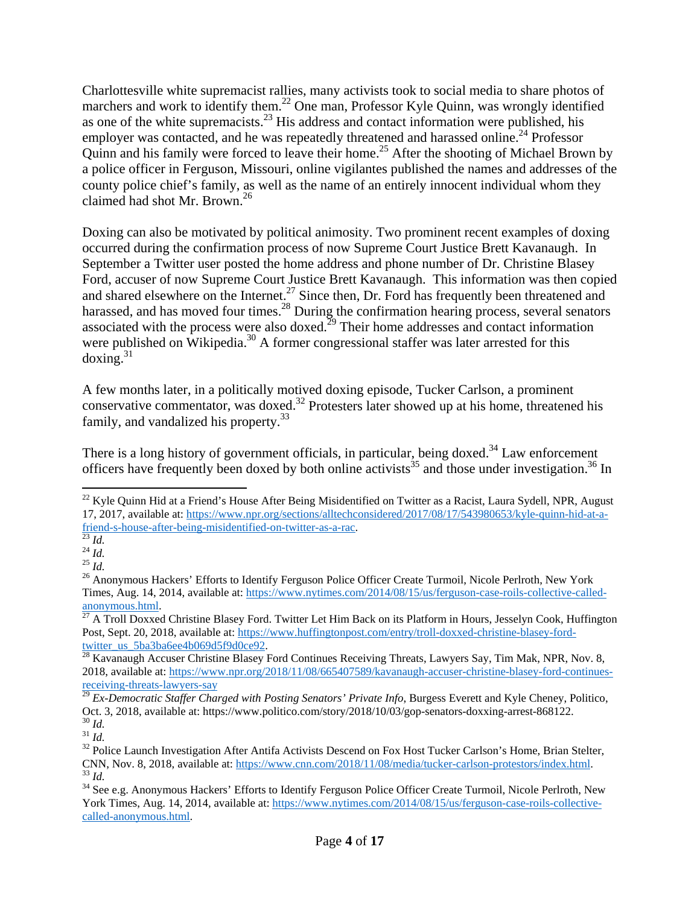Charlottesville white supremacist rallies, many activists took to social media to share photos of marchers and work to identify them.<sup>22</sup> One man, Professor Kyle Quinn, was wrongly identified as one of the white supremacists.<sup>23</sup> His address and contact information were published, his employer was contacted, and he was repeatedly threatened and harassed online.<sup>24</sup> Professor Quinn and his family were forced to leave their home.<sup>25</sup> After the shooting of Michael Brown by a police officer in Ferguson, Missouri, online vigilantes published the names and addresses of the county police chief's family, as well as the name of an entirely innocent individual whom they claimed had shot Mr. Brown.<sup>26</sup>

Doxing can also be motivated by political animosity. Two prominent recent examples of doxing occurred during the confirmation process of now Supreme Court Justice Brett Kavanaugh. In September a Twitter user posted the home address and phone number of Dr. Christine Blasey Ford, accuser of now Supreme Court Justice Brett Kavanaugh. This information was then copied and shared elsewhere on the Internet.<sup>27</sup> Since then, Dr. Ford has frequently been threatened and harassed, and has moved four times. $^{28}$  During the confirmation hearing process, several senators associated with the process were also doxed.<sup>29</sup> Their home addresses and contact information were published on Wikipedia.<sup>30</sup> A former congressional staffer was later arrested for this  $doxing.<sup>31</sup>$ 

A few months later, in a politically motived doxing episode, Tucker Carlson, a prominent conservative commentator, was doxed.<sup>32</sup> Protesters later showed up at his home, threatened his family, and vandalized his property.<sup>33</sup>

There is a long history of government officials, in particular, being doxed.<sup>34</sup> Law enforcement officers have frequently been doxed by both online activists<sup>35</sup> and those under investigation.<sup>36</sup> In

 $^{22}$  Kyle Quinn Hid at a Friend's House After Being Misidentified on Twitter as a Racist, Laura Sydell, NPR, August 17, 2017, available at: https://www.npr.org/sections/alltechconsidered/2017/08/17/543980653/kyle-quinn-hid-at-a-<br>friend-s-house-after-being-misidentified-on-twitter-as-a-rac.

<sup>&</sup>lt;sup>23</sup> *Id.* <sup>24</sup> *Id.* <sup>24</sup> *Id.* <sup>25</sup> *Id.* <sup>25</sup> *Id.* <sup>25</sup> *Id.* <sup>25</sup> *Anonymous Hackers'* Efforts to Identify Ferguson Police Officer Create Turmoil, Nicole Perlroth, New York <sup>26</sup> Anonymous Hackers' Efforts to Identify Times, Aug. 14, 2014, available at:  $\frac{https://www.nytimes.com/2014/08/15/us/ferguson-case-roils-collective-called-  
anonymous.html.  
 $\frac{27}{4}$  Troll Powered Chutative PU$ 

A Troll Doxxed Christine Blasey Ford. Twitter Let Him Back on its Platform in Hours, Jesselyn Cook, Huffington Post, Sept. 20, 2018, available at: https://www.huffingtonpost.com/entry/troll-doxxed-christine-blasey-fordtwitter\_us\_5ba3ba6ee4b069d5f9d0ce92.<br><sup>28</sup> Kavanaugh Accuser Christine Blasey Ford Continues Receiving Threats, Lawyers Say, Tim Mak, NPR, Nov. 8,

<sup>2018,</sup> available at: https://www.npr.org/2018/11/08/665407589/kavanaugh-accuser-christine-blasey-ford-continuesreceiving-threats-lawyers-say

<sup>29</sup> *Ex-Democratic Staffer Charged with Posting Senators' Private Info*, Burgess Everett and Kyle Cheney, Politico, Oct. 3, 2018, available at: https://www.politico.com/story/2018/10/03/gop-senators-doxxing-arrest-868122.<br><sup>30</sup> *Id.*<br><sup>31</sup> *Id.*<br><sup>32</sup> Police Launch Investigation After Antifa Activists Descend on Fox Host Tucker Carlson's H

The CMN, Nov. 8, 2018, available at: https://www.cnn.com/2018/11/08/media/tucker-carlson-protestors/index.html.<br><sup>33</sup> Id.<br><sup>34</sup> See e.g. Anonymous Hackers' Efforts to Identify Ferguson Police Officer Create Turmoil, Nicole P

York Times, Aug. 14, 2014, available at: https://www.nytimes.com/2014/08/15/us/ferguson-case-roils-collectivecalled-anonymous.html.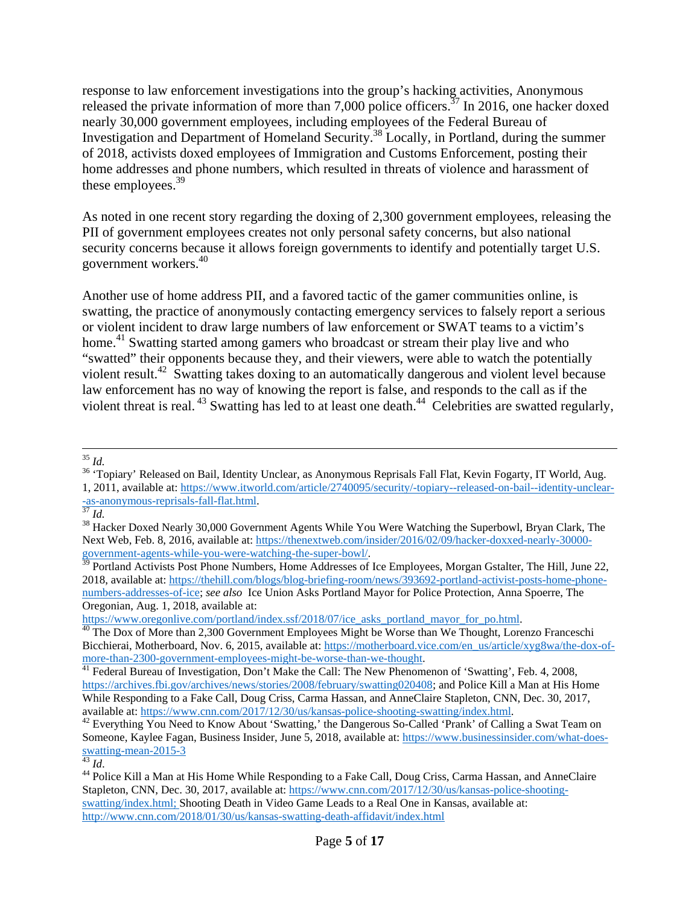response to law enforcement investigations into the group's hacking activities, Anonymous released the private information of more than 7,000 police officers.<sup>37</sup> In 2016, one hacker doxed nearly 30,000 government employees, including employees of the Federal Bureau of Investigation and Department of Homeland Security.38 Locally, in Portland, during the summer of 2018, activists doxed employees of Immigration and Customs Enforcement, posting their home addresses and phone numbers, which resulted in threats of violence and harassment of these employees.<sup>39</sup>

As noted in one recent story regarding the doxing of 2,300 government employees, releasing the PII of government employees creates not only personal safety concerns, but also national security concerns because it allows foreign governments to identify and potentially target U.S. government workers.40

Another use of home address PII, and a favored tactic of the gamer communities online, is swatting, the practice of anonymously contacting emergency services to falsely report a serious or violent incident to draw large numbers of law enforcement or SWAT teams to a victim's home.<sup>41</sup> Swatting started among gamers who broadcast or stream their play live and who "swatted" their opponents because they, and their viewers, were able to watch the potentially violent result.42 Swatting takes doxing to an automatically dangerous and violent level because law enforcement has no way of knowing the report is false, and responds to the call as if the violent threat is real.  $43$  Swatting has led to at least one death.  $44$  Celebrities are swatted regularly,

<sup>39</sup> Portland Activists Post Phone Numbers, Home Addresses of Ice Employees, Morgan Gstalter, The Hill, June 22, 2018, available at: https://thehill.com/blogs/blog-briefing-room/news/393692-portland-activist-posts-home-phonenumbers-addresses-of-ice; *see also* Ice Union Asks Portland Mayor for Police Protection, Anna Spoerre, The Oregonian, Aug. 1, 2018, available at:<br>https://www.oregonlive.com/portland/index.ssf/2018/07/ice asks portland mayor for po.html.

https://www.oregonlive.com/portland/index.ss/2018/2018/ice\_asks\_portland\_mayor\_for\_portland\_mayor\_for\_portland<br><sup>40</sup> The Dox of More than 2,300 Government Employees Might be Worse than We Thought, Lorenzo Franceschi Bicchierai, Motherboard, Nov. 6, 2015, available at: https://motherboard.vice.com/en\_us/article/xyg8wa/the-dox-ofmore-than-2300-government-employees-might-be-worse-than-we-thought.<br><sup>41</sup> Federal Bureau of Investigation, Don't Make the Call: The New Phenomenon of 'Swatting', Feb. 4, 2008,

<sup>&</sup>lt;u> 1989 - Johann Stein, marwolaethau a gweledydd a ganlad y ganlad y ganlad y ganlad y ganlad y ganlad y ganlad</u>

<sup>&</sup>lt;sup>35</sup> *Id.*<br><sup>36</sup> 'Topiary' Released on Bail, Identity Unclear, as Anonymous Reprisals Fall Flat, Kevin Fogarty, IT World, Aug. 1, 2011, available at: https://www.itworld.com/article/2740095/security/-topiary--released-on-bail--identity-unclear-<br>  $\frac{-as-anonymous-reprisals-fall-flat.html}{d}$ .

<sup>&</sup>lt;sup>38</sup> Hacker Doxed Nearly 30,000 Government Agents While You Were Watching the Superbowl, Bryan Clark, The Next Web, Feb. 8, 2016, available at: https://thenextweb.com/insider/2016/02/09/hacker-doxxed-nearly-30000-government-agents-while-you-were-watching-the-super-bowl/.

https://archives.fbi.gov/archives/news/stories/2008/february/swatting020408; and Police Kill a Man at His Home While Responding to a Fake Call, Doug Criss, Carma Hassan, and AnneClaire Stapleton, CNN, Dec. 30, 2017, available at: https://www.cnn.com/2017/12/30/us/kansas-police-shooting-swatting/index.html.

<sup>&</sup>lt;sup>42</sup> Everything You Need to Know About 'Swatting,' the Dangerous So-Called 'Prank' of Calling a Swat Team on Someone, Kaylee Fagan, Business Insider, June 5, 2018, available at: https://www.businessinsider.com/what-doesswatting-mean-2015-3<br> $^{43}$  *Id.* 

<sup>&</sup>lt;sup>44</sup> Police Kill a Man at His Home While Responding to a Fake Call, Doug Criss, Carma Hassan, and AnneClaire Stapleton, CNN, Dec. 30, 2017, available at: https://www.cnn.com/2017/12/30/us/kansas-police-shootingswatting/index.html; Shooting Death in Video Game Leads to a Real One in Kansas, available at: http://www.cnn.com/2018/01/30/us/kansas-swatting-death-affidavit/index.html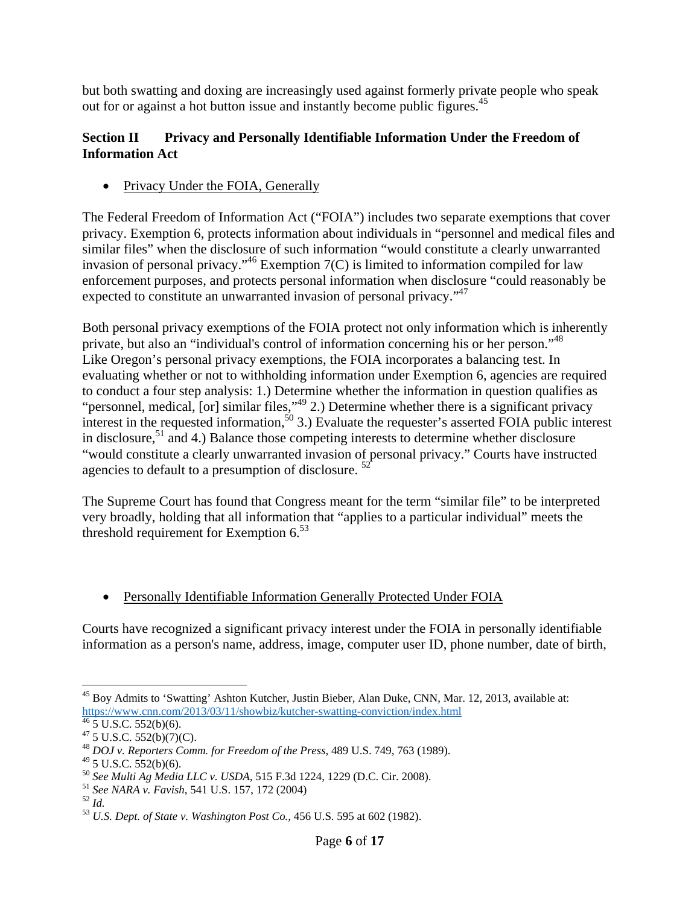but both swatting and doxing are increasingly used against formerly private people who speak out for or against a hot button issue and instantly become public figures.<sup>45</sup>

### **Section II Privacy and Personally Identifiable Information Under the Freedom of Information Act**

• Privacy Under the FOIA, Generally

The Federal Freedom of Information Act ("FOIA") includes two separate exemptions that cover privacy. Exemption 6, protects information about individuals in "personnel and medical files and similar files" when the disclosure of such information "would constitute a clearly unwarranted invasion of personal privacy."<sup>46</sup> Exemption  $7(C)$  is limited to information compiled for law enforcement purposes, and protects personal information when disclosure "could reasonably be expected to constitute an unwarranted invasion of personal privacy."<sup>47</sup>

Both personal privacy exemptions of the FOIA protect not only information which is inherently private, but also an "individual's control of information concerning his or her person."48 Like Oregon's personal privacy exemptions, the FOIA incorporates a balancing test. In evaluating whether or not to withholding information under Exemption 6, agencies are required to conduct a four step analysis: 1.) Determine whether the information in question qualifies as "personnel, medical,  $[or]$  similar files," $^{49}$  2.) Determine whether there is a significant privacy interest in the requested information,<sup>50</sup> 3.) Evaluate the requester's asserted FOIA public interest in disclosure,<sup>51</sup> and 4.) Balance those competing interests to determine whether disclosure "would constitute a clearly unwarranted invasion of personal privacy." Courts have instructed agencies to default to a presumption of disclosure.<sup>52</sup>

The Supreme Court has found that Congress meant for the term "similar file" to be interpreted very broadly, holding that all information that "applies to a particular individual" meets the threshold requirement for Exemption  $6^{53}$ 

• Personally Identifiable Information Generally Protected Under FOIA

Courts have recognized a significant privacy interest under the FOIA in personally identifiable information as a person's name, address, image, computer user ID, phone number, date of birth,

 <sup>45</sup> Boy Admits to 'Swatting' Ashton Kutcher, Justin Bieber, Alan Duke, CNN, Mar. 12, 2013, available at: https://www.cnn.com/2013/03/11/showbiz/kutcher-swatting-conviction/index.html 46 5 U.S.C. 552(b)(6).

 $47\overline{5}$  U.S.C.  $552(b)(7)(C)$ .

<sup>48</sup> *DOJ v. Reporters Comm. for Freedom of the Press*, 489 U.S. 749, 763 (1989).

 $49$  5 U.S.C. 552(b)(6).

<sup>&</sup>lt;sup>50</sup> See Multi Ag Media LLC v. USDA, 515 F.3d 1224, 1229 (D.C. Cir. 2008).<br><sup>51</sup> See NARA v. Favish, 541 U.S. 157, 172 (2004)<br><sup>52</sup> Id.<br><sup>53</sup> U.S. Dept. of State v. Washington Post Co., 456 U.S. 595 at 602 (1982).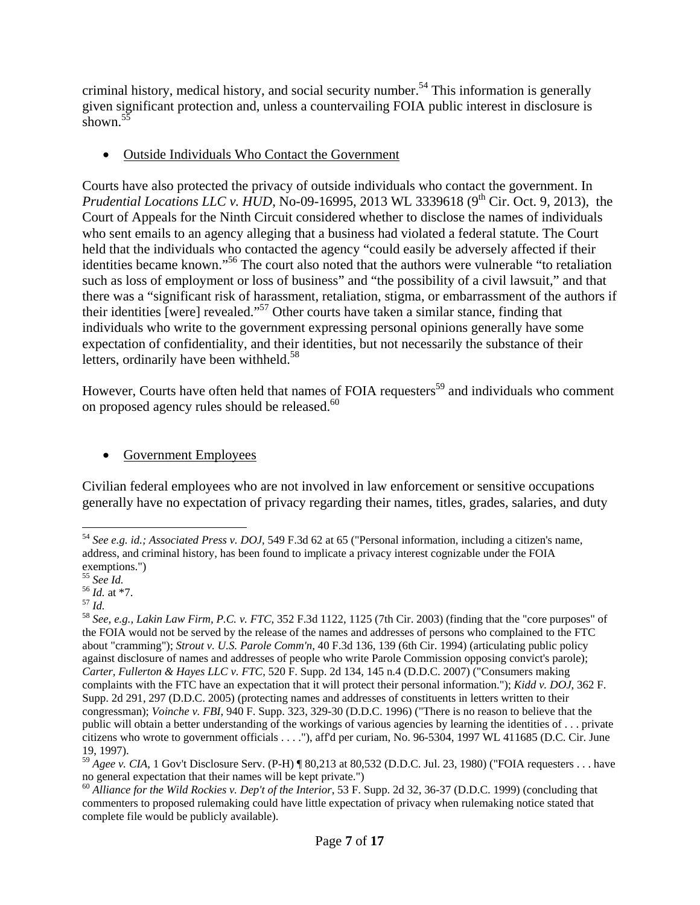criminal history, medical history, and social security number.<sup>54</sup> This information is generally given significant protection and, unless a countervailing FOIA public interest in disclosure is shown.<sup>5</sup>

Outside Individuals Who Contact the Government

Courts have also protected the privacy of outside individuals who contact the government. In *Prudential Locations LLC v. HUD, No-09-16995, 2013 WL 3339618 (9<sup>th</sup> Cir. Oct. 9, 2013), the* Court of Appeals for the Ninth Circuit considered whether to disclose the names of individuals who sent emails to an agency alleging that a business had violated a federal statute. The Court held that the individuals who contacted the agency "could easily be adversely affected if their identities became known."56 The court also noted that the authors were vulnerable "to retaliation such as loss of employment or loss of business" and "the possibility of a civil lawsuit," and that there was a "significant risk of harassment, retaliation, stigma, or embarrassment of the authors if their identities [were] revealed."<sup>57</sup> Other courts have taken a similar stance, finding that individuals who write to the government expressing personal opinions generally have some expectation of confidentiality, and their identities, but not necessarily the substance of their letters, ordinarily have been withheld. $58$ 

However, Courts have often held that names of FOIA requesters<sup>59</sup> and individuals who comment on proposed agency rules should be released.<sup>60</sup>

## • Government Employees

Civilian federal employees who are not involved in law enforcement or sensitive occupations generally have no expectation of privacy regarding their names, titles, grades, salaries, and duty

 <sup>54</sup> *See e.g. id.; Associated Press v. DOJ*, 549 F.3d 62 at 65 ("Personal information, including a citizen's name, address, and criminal history, has been found to implicate a privacy interest cognizable under the FOIA

exemptions.")<br>  $^{55}$  *See 1d.*<br>  $^{56}$  *Id.* at \*7.

<sup>55</sup> *See Id.* <sup>56</sup> *Id.* at \*7. 57 *Id.* <sup>58</sup> *See, e.g., Lakin Law Firm, P.C. v. FTC*, 352 F.3d 1122, 1125 (7th Cir. 2003) (finding that the "core purposes" of the FOIA would not be served by the release of the names and addresses of persons who complained to the FTC about "cramming"); *Strout v. U.S. Parole Comm'n,* 40 F.3d 136, 139 (6th Cir. 1994) (articulating public policy against disclosure of names and addresses of people who write Parole Commission opposing convict's parole); *Carter, Fullerton & Hayes LLC v. FTC*, 520 F. Supp. 2d 134, 145 n.4 (D.D.C. 2007) ("Consumers making complaints with the FTC have an expectation that it will protect their personal information."); *Kidd v. DOJ*, 362 F. Supp. 2d 291, 297 (D.D.C. 2005) (protecting names and addresses of constituents in letters written to their congressman); *Voinche v. FBI*, 940 F. Supp. 323, 329-30 (D.D.C. 1996) ("There is no reason to believe that the public will obtain a better understanding of the workings of various agencies by learning the identities of . . . private citizens who wrote to government officials . . . ."), aff'd per curiam, No. 96-5304, 1997 WL 411685 (D.C. Cir. June 19, 1997).

 $^{59}$  *Agee v. CIA*, 1 Gov't Disclosure Serv. (P-H)  $\parallel$  80,213 at 80,532 (D.D.C. Jul. 23, 1980) ("FOIA requesters . . . have no general expectation that their names will be kept private.")

<sup>60</sup> *Alliance for the Wild Rockies v. Dep't of the Interior*, 53 F. Supp. 2d 32, 36-37 (D.D.C. 1999) (concluding that commenters to proposed rulemaking could have little expectation of privacy when rulemaking notice stated that complete file would be publicly available).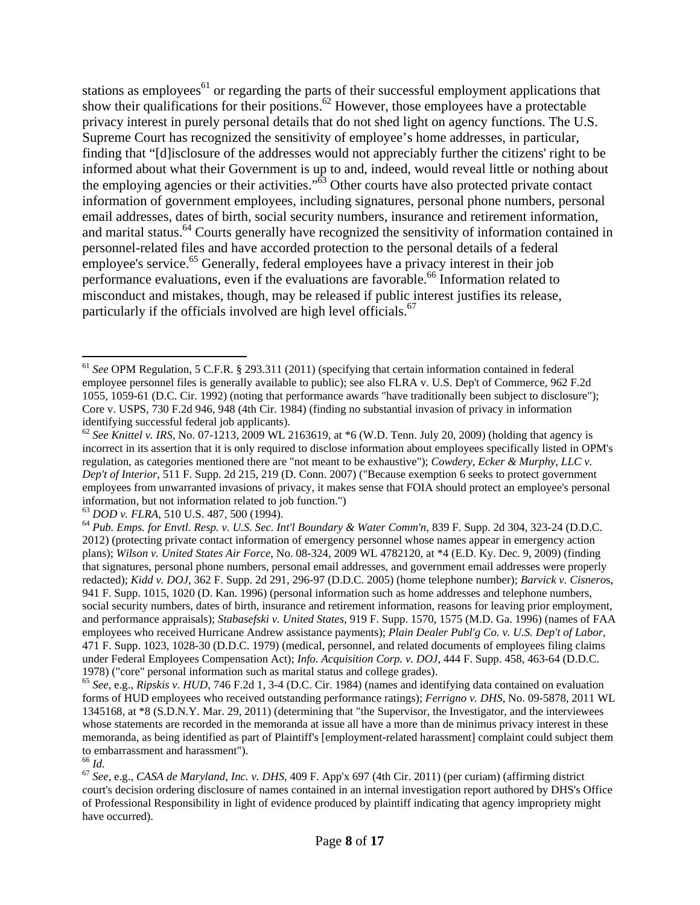stations as employees<sup>61</sup> or regarding the parts of their successful employment applications that show their qualifications for their positions.<sup>62</sup> However, those employees have a protectable privacy interest in purely personal details that do not shed light on agency functions. The U.S. Supreme Court has recognized the sensitivity of employee's home addresses, in particular, finding that "[d]isclosure of the addresses would not appreciably further the citizens' right to be informed about what their Government is up to and, indeed, would reveal little or nothing about the employing agencies or their activities." $\dot{6}$ <sup>3</sup> Other courts have also protected private contact information of government employees, including signatures, personal phone numbers, personal email addresses, dates of birth, social security numbers, insurance and retirement information, and marital status.<sup>64</sup> Courts generally have recognized the sensitivity of information contained in personnel-related files and have accorded protection to the personal details of a federal employee's service.<sup>65</sup> Generally, federal employees have a privacy interest in their job performance evaluations, even if the evaluations are favorable.<sup>66</sup> Information related to misconduct and mistakes, though, may be released if public interest justifies its release, particularly if the officials involved are high level officials.<sup>67</sup>

<sup>61</sup> *See* OPM Regulation, 5 C.F.R. § 293.311 (2011) (specifying that certain information contained in federal employee personnel files is generally available to public); see also FLRA v. U.S. Dep't of Commerce, 962 F.2d 1055, 1059-61 (D.C. Cir. 1992) (noting that performance awards "have traditionally been subject to disclosure"); Core v. USPS, 730 F.2d 946, 948 (4th Cir. 1984) (finding no substantial invasion of privacy in information identifying successful federal job applicants).

<sup>&</sup>lt;sup>62</sup> See Knittel v. IRS, No. 07-1213, 2009 WL 2163619, at \*6 (W.D. Tenn. July 20, 2009) (holding that agency is incorrect in its assertion that it is only required to disclose information about employees specifically listed in OPM's regulation, as categories mentioned there are "not meant to be exhaustive"); *Cowdery, Ecker & Murphy, LLC v. Dep't of Interior*, 511 F. Supp. 2d 215, 219 (D. Conn. 2007) ("Because exemption 6 seeks to protect government employees from unwarranted invasions of privacy, it makes sense that FOIA should protect an employee's personal information, but not information related to job function.")<br>
<sup>63</sup> DOD v. FLRA, 510 U.S. 487, 500 (1994).

<sup>&</sup>lt;sup>64</sup> Pub. Emps. for Envtl. Resp. v. U.S. Sec. Int'l Boundary & Water Comm'n, 839 F. Supp. 2d 304, 323-24 (D.D.C. 2012) (protecting private contact information of emergency personnel whose names appear in emergency action plans); *Wilson v. United States Air Force*, No. 08-324, 2009 WL 4782120, at \*4 (E.D. Ky. Dec. 9, 2009) (finding that signatures, personal phone numbers, personal email addresses, and government email addresses were properly redacted); *Kidd v. DOJ*, 362 F. Supp. 2d 291, 296-97 (D.D.C. 2005) (home telephone number); *Barvick v. Cisnero*s, 941 F. Supp. 1015, 1020 (D. Kan. 1996) (personal information such as home addresses and telephone numbers, social security numbers, dates of birth, insurance and retirement information, reasons for leaving prior employment, and performance appraisals); *Stabasefski v. United States*, 919 F. Supp. 1570, 1575 (M.D. Ga. 1996) (names of FAA employees who received Hurricane Andrew assistance payments); *Plain Dealer Publ'g Co. v. U.S. Dep't of Labor*, 471 F. Supp. 1023, 1028-30 (D.D.C. 1979) (medical, personnel, and related documents of employees filing claims under Federal Employees Compensation Act); *Info. Acquisition Corp. v. DOJ*, 444 F. Supp. 458, 463-64 (D.D.C.

<sup>1978) (&</sup>quot;core" personal information such as marital status and college grades). 65 *See*, e.g., *Ripskis v. HUD*, 746 F.2d 1, 3-4 (D.C. Cir. 1984) (names and identifying data contained on evaluation forms of HUD employees who received outstanding performance ratings); *Ferrigno v. DHS*, No. 09-5878, 2011 WL 1345168, at \*8 (S.D.N.Y. Mar. 29, 2011) (determining that "the Supervisor, the Investigator, and the interviewees whose statements are recorded in the memoranda at issue all have a more than de minimus privacy interest in these memoranda, as being identified as part of Plaintiff's [employment-related harassment] complaint could subject them to embarrassment and harassment"). $^{66}$   $\emph{Id.}$ 

<sup>66</sup> *Id.* <sup>67</sup> *See*, e.g., *CASA de Maryland, Inc. v. DHS*, 409 F. App'x 697 (4th Cir. 2011) (per curiam) (affirming district court's decision ordering disclosure of names contained in an internal investigation report authored by DHS's Office of Professional Responsibility in light of evidence produced by plaintiff indicating that agency impropriety might have occurred).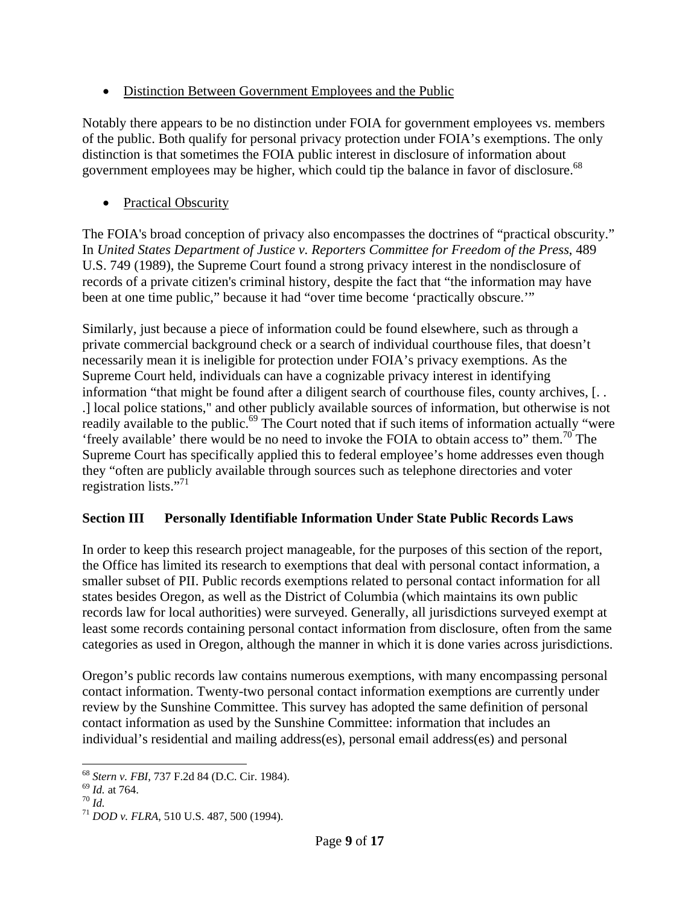• Distinction Between Government Employees and the Public

Notably there appears to be no distinction under FOIA for government employees vs. members of the public. Both qualify for personal privacy protection under FOIA's exemptions. The only distinction is that sometimes the FOIA public interest in disclosure of information about government employees may be higher, which could tip the balance in favor of disclosure.<sup>68</sup>

• Practical Obscurity

The FOIA's broad conception of privacy also encompasses the doctrines of "practical obscurity." In *United States Department of Justice v. Reporters Committee for Freedom of the Press*, 489 U.S. 749 (1989), the Supreme Court found a strong privacy interest in the nondisclosure of records of a private citizen's criminal history, despite the fact that "the information may have been at one time public," because it had "over time become 'practically obscure.'"

Similarly, just because a piece of information could be found elsewhere, such as through a private commercial background check or a search of individual courthouse files, that doesn't necessarily mean it is ineligible for protection under FOIA's privacy exemptions. As the Supreme Court held, individuals can have a cognizable privacy interest in identifying information "that might be found after a diligent search of courthouse files, county archives, [. . .] local police stations," and other publicly available sources of information, but otherwise is not readily available to the public.<sup>69</sup> The Court noted that if such items of information actually "were 'freely available' there would be no need to invoke the FOIA to obtain access to" them.<sup>70</sup> The Supreme Court has specifically applied this to federal employee's home addresses even though they "often are publicly available through sources such as telephone directories and voter registration lists."<sup>71</sup>

# **Section III Personally Identifiable Information Under State Public Records Laws**

In order to keep this research project manageable, for the purposes of this section of the report, the Office has limited its research to exemptions that deal with personal contact information, a smaller subset of PII. Public records exemptions related to personal contact information for all states besides Oregon, as well as the District of Columbia (which maintains its own public records law for local authorities) were surveyed. Generally, all jurisdictions surveyed exempt at least some records containing personal contact information from disclosure, often from the same categories as used in Oregon, although the manner in which it is done varies across jurisdictions.

Oregon's public records law contains numerous exemptions, with many encompassing personal contact information. Twenty-two personal contact information exemptions are currently under review by the Sunshine Committee. This survey has adopted the same definition of personal contact information as used by the Sunshine Committee: information that includes an individual's residential and mailing address(es), personal email address(es) and personal

 <sup>68</sup> *Stern v. FBI*, 737 F.2d 84 (D.C. Cir. 1984). 69 *Id.* at 764. 70 *Id.* <sup>71</sup> *DOD v. FLRA*, 510 U.S. 487, 500 (1994).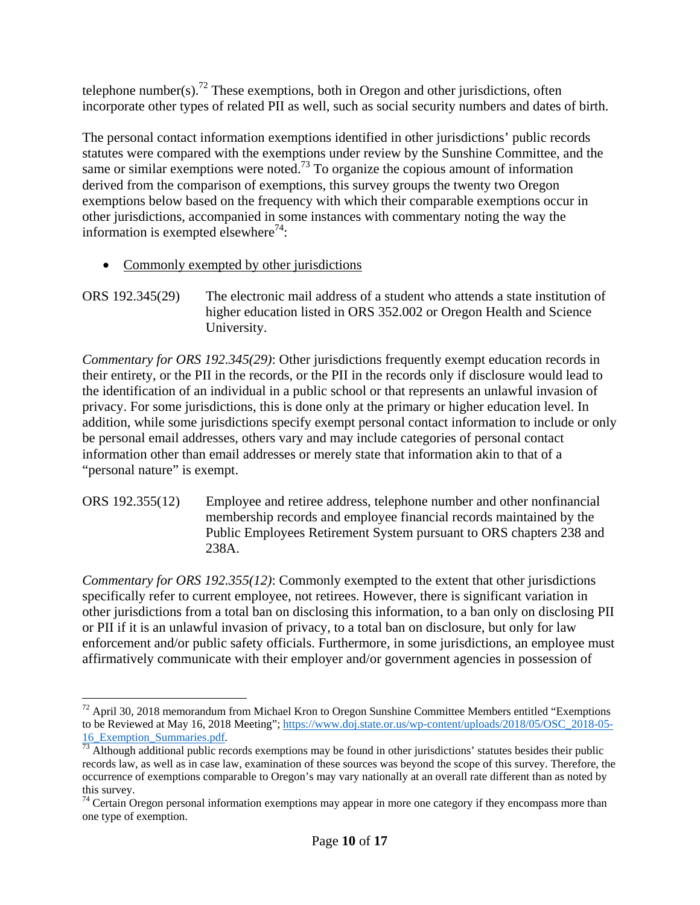telephone number(s).<sup>72</sup> These exemptions, both in Oregon and other jurisdictions, often incorporate other types of related PII as well, such as social security numbers and dates of birth.

The personal contact information exemptions identified in other jurisdictions' public records statutes were compared with the exemptions under review by the Sunshine Committee, and the same or similar exemptions were noted.<sup>73</sup> To organize the copious amount of information derived from the comparison of exemptions, this survey groups the twenty two Oregon exemptions below based on the frequency with which their comparable exemptions occur in other jurisdictions, accompanied in some instances with commentary noting the way the information is exempted elsewhere<sup>74</sup>:

- Commonly exempted by other jurisdictions
- ORS 192.345(29) The electronic mail address of a student who attends a state institution of higher education listed in ORS 352.002 or Oregon Health and Science University.

*Commentary for ORS 192.345(29)*: Other jurisdictions frequently exempt education records in their entirety, or the PII in the records, or the PII in the records only if disclosure would lead to the identification of an individual in a public school or that represents an unlawful invasion of privacy. For some jurisdictions, this is done only at the primary or higher education level. In addition, while some jurisdictions specify exempt personal contact information to include or only be personal email addresses, others vary and may include categories of personal contact information other than email addresses or merely state that information akin to that of a "personal nature" is exempt.

ORS 192.355(12) Employee and retiree address, telephone number and other nonfinancial membership records and employee financial records maintained by the Public Employees Retirement System pursuant to ORS chapters 238 and 238A.

*Commentary for ORS 192.355(12)*: Commonly exempted to the extent that other jurisdictions specifically refer to current employee, not retirees. However, there is significant variation in other jurisdictions from a total ban on disclosing this information, to a ban only on disclosing PII or PII if it is an unlawful invasion of privacy, to a total ban on disclosure, but only for law enforcement and/or public safety officials. Furthermore, in some jurisdictions, an employee must affirmatively communicate with their employer and/or government agencies in possession of

  $72$  April 30, 2018 memorandum from Michael Kron to Oregon Sunshine Committee Members entitled "Exemptions" to be Reviewed at May 16, 2018 Meeting"; https://www.doj.state.or.us/wp-content/uploads/2018/05/OSC\_2018-05-  $\frac{16}{73}$  Although additional public records exemptions may be found in other jurisdictions' statutes besides their public  $\frac{16}{73}$ 

records law, as well as in case law, examination of these sources was beyond the scope of this survey. Therefore, the occurrence of exemptions comparable to Oregon's may vary nationally at an overall rate different than as noted by this survey.

<sup>&</sup>lt;sup>74</sup> Certain Oregon personal information exemptions may appear in more one category if they encompass more than one type of exemption.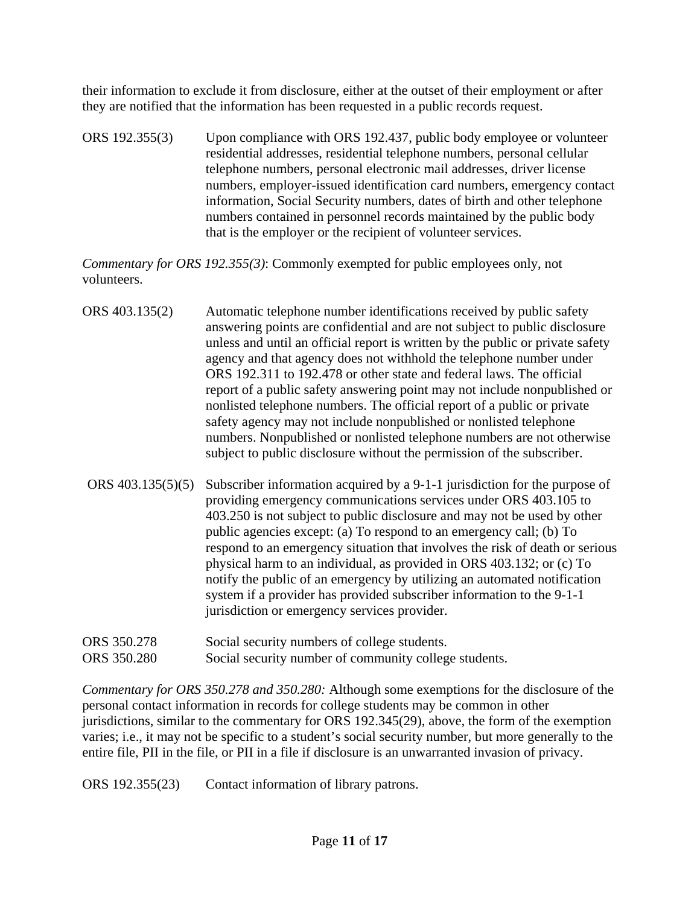their information to exclude it from disclosure, either at the outset of their employment or after they are notified that the information has been requested in a public records request.

ORS 192.355(3) Upon compliance with ORS 192.437, public body employee or volunteer residential addresses, residential telephone numbers, personal cellular telephone numbers, personal electronic mail addresses, driver license numbers, employer-issued identification card numbers, emergency contact information, Social Security numbers, dates of birth and other telephone numbers contained in personnel records maintained by the public body that is the employer or the recipient of volunteer services.

*Commentary for ORS 192.355(3)*: Commonly exempted for public employees only, not volunteers.

- ORS 403.135(2) Automatic telephone number identifications received by public safety answering points are confidential and are not subject to public disclosure unless and until an official report is written by the public or private safety agency and that agency does not withhold the telephone number under ORS 192.311 to 192.478 or other state and federal laws. The official report of a public safety answering point may not include nonpublished or nonlisted telephone numbers. The official report of a public or private safety agency may not include nonpublished or nonlisted telephone numbers. Nonpublished or nonlisted telephone numbers are not otherwise subject to public disclosure without the permission of the subscriber.
- ORS 403.135(5)(5) Subscriber information acquired by a 9-1-1 jurisdiction for the purpose of providing emergency communications services under ORS 403.105 to 403.250 is not subject to public disclosure and may not be used by other public agencies except: (a) To respond to an emergency call; (b) To respond to an emergency situation that involves the risk of death or serious physical harm to an individual, as provided in ORS 403.132; or (c) To notify the public of an emergency by utilizing an automated notification system if a provider has provided subscriber information to the 9-1-1 jurisdiction or emergency services provider.
- ORS 350.278 Social security numbers of college students.
- ORS 350.280 Social security number of community college students.

*Commentary for ORS 350.278 and 350.280:* Although some exemptions for the disclosure of the personal contact information in records for college students may be common in other jurisdictions, similar to the commentary for ORS 192.345(29), above, the form of the exemption varies; i.e., it may not be specific to a student's social security number, but more generally to the entire file, PII in the file, or PII in a file if disclosure is an unwarranted invasion of privacy.

ORS 192.355(23) Contact information of library patrons.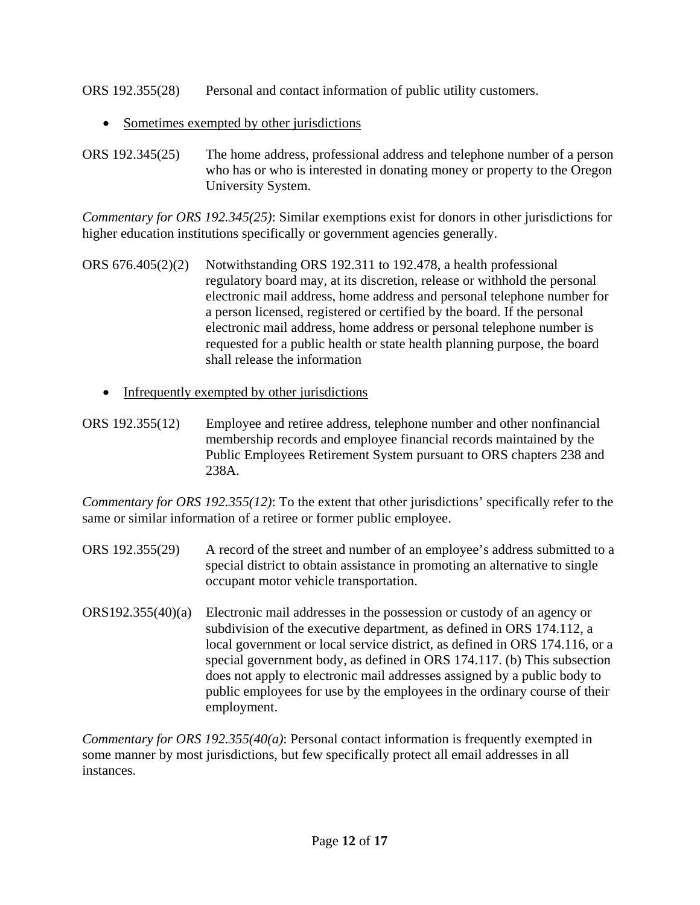ORS 192.355(28) Personal and contact information of public utility customers.

• Sometimes exempted by other jurisdictions

ORS 192.345(25) The home address, professional address and telephone number of a person who has or who is interested in donating money or property to the Oregon University System.

*Commentary for ORS 192.345(25)*: Similar exemptions exist for donors in other jurisdictions for higher education institutions specifically or government agencies generally.

- ORS 676.405(2)(2) Notwithstanding ORS 192.311 to 192.478, a health professional regulatory board may, at its discretion, release or withhold the personal electronic mail address, home address and personal telephone number for a person licensed, registered or certified by the board. If the personal electronic mail address, home address or personal telephone number is requested for a public health or state health planning purpose, the board shall release the information
	- Infrequently exempted by other jurisdictions
- ORS 192.355(12) Employee and retiree address, telephone number and other nonfinancial membership records and employee financial records maintained by the Public Employees Retirement System pursuant to ORS chapters 238 and 238A.

*Commentary for ORS 192.355(12)*: To the extent that other jurisdictions' specifically refer to the same or similar information of a retiree or former public employee.

- ORS 192.355(29) A record of the street and number of an employee's address submitted to a special district to obtain assistance in promoting an alternative to single occupant motor vehicle transportation.
- ORS192.355(40)(a) Electronic mail addresses in the possession or custody of an agency or subdivision of the executive department, as defined in ORS 174.112, a local government or local service district, as defined in ORS 174.116, or a special government body, as defined in ORS 174.117. (b) This subsection does not apply to electronic mail addresses assigned by a public body to public employees for use by the employees in the ordinary course of their employment.

*Commentary for ORS 192.355(40(a)*: Personal contact information is frequently exempted in some manner by most jurisdictions, but few specifically protect all email addresses in all instances.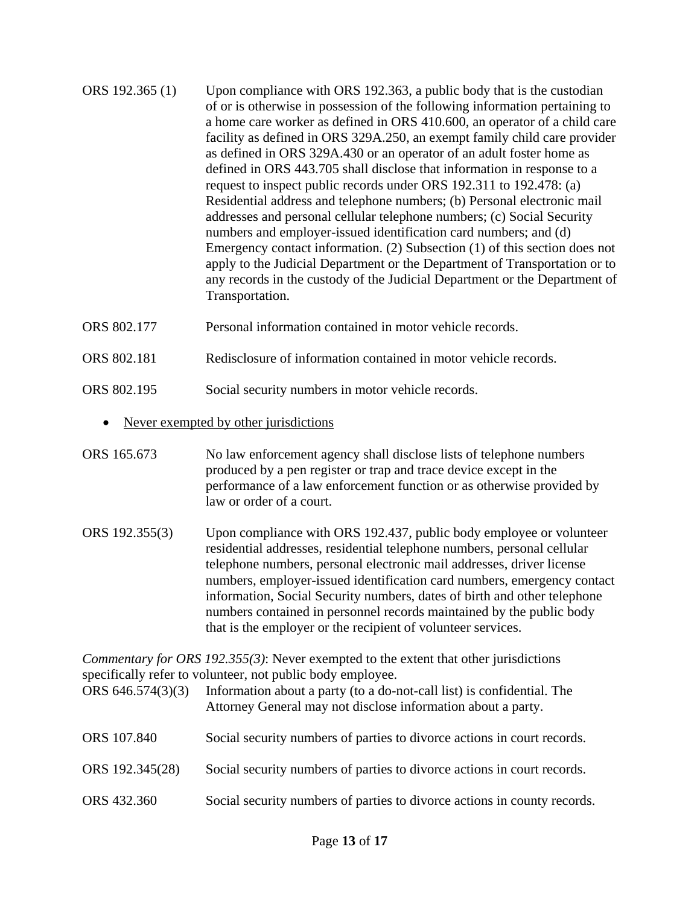- ORS 192.365 (1) Upon compliance with ORS 192.363, a public body that is the custodian of or is otherwise in possession of the following information pertaining to a home care worker as defined in ORS 410.600, an operator of a child care facility as defined in ORS 329A.250, an exempt family child care provider as defined in ORS 329A.430 or an operator of an adult foster home as defined in ORS 443.705 shall disclose that information in response to a request to inspect public records under ORS 192.311 to 192.478: (a) Residential address and telephone numbers; (b) Personal electronic mail addresses and personal cellular telephone numbers; (c) Social Security numbers and employer-issued identification card numbers; and (d) Emergency contact information. (2) Subsection (1) of this section does not apply to the Judicial Department or the Department of Transportation or to any records in the custody of the Judicial Department or the Department of Transportation.
- ORS 802.177 Personal information contained in motor vehicle records.
- ORS 802.181 Redisclosure of information contained in motor vehicle records.
- ORS 802.195 Social security numbers in motor vehicle records.
	- Never exempted by other jurisdictions
- ORS 165.673 No law enforcement agency shall disclose lists of telephone numbers produced by a pen register or trap and trace device except in the performance of a law enforcement function or as otherwise provided by law or order of a court.
- ORS 192.355(3) Upon compliance with ORS 192.437, public body employee or volunteer residential addresses, residential telephone numbers, personal cellular telephone numbers, personal electronic mail addresses, driver license numbers, employer-issued identification card numbers, emergency contact information, Social Security numbers, dates of birth and other telephone numbers contained in personnel records maintained by the public body that is the employer or the recipient of volunteer services.

*Commentary for ORS 192.355(3)*: Never exempted to the extent that other jurisdictions specifically refer to volunteer, not public body employee.

- ORS 646.574(3)(3) Information about a party (to a do-not-call list) is confidential. The Attorney General may not disclose information about a party.
- ORS 107.840 Social security numbers of parties to divorce actions in court records.
- ORS 192.345(28) Social security numbers of parties to divorce actions in court records.
- ORS 432.360 Social security numbers of parties to divorce actions in county records.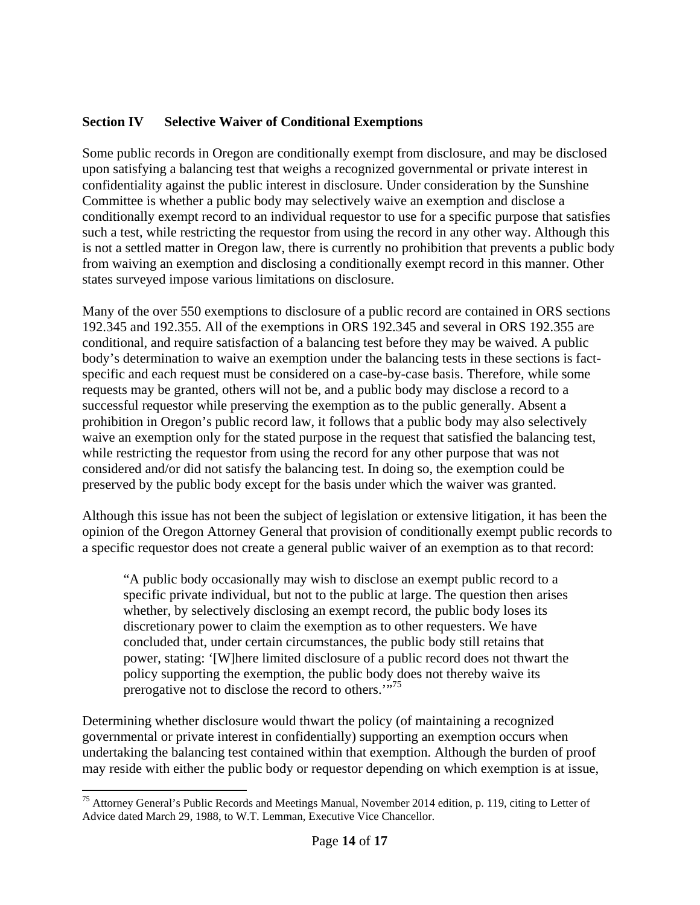### **Section IV Selective Waiver of Conditional Exemptions**

Some public records in Oregon are conditionally exempt from disclosure, and may be disclosed upon satisfying a balancing test that weighs a recognized governmental or private interest in confidentiality against the public interest in disclosure. Under consideration by the Sunshine Committee is whether a public body may selectively waive an exemption and disclose a conditionally exempt record to an individual requestor to use for a specific purpose that satisfies such a test, while restricting the requestor from using the record in any other way. Although this is not a settled matter in Oregon law, there is currently no prohibition that prevents a public body from waiving an exemption and disclosing a conditionally exempt record in this manner. Other states surveyed impose various limitations on disclosure.

Many of the over 550 exemptions to disclosure of a public record are contained in ORS sections 192.345 and 192.355. All of the exemptions in ORS 192.345 and several in ORS 192.355 are conditional, and require satisfaction of a balancing test before they may be waived. A public body's determination to waive an exemption under the balancing tests in these sections is factspecific and each request must be considered on a case-by-case basis. Therefore, while some requests may be granted, others will not be, and a public body may disclose a record to a successful requestor while preserving the exemption as to the public generally. Absent a prohibition in Oregon's public record law, it follows that a public body may also selectively waive an exemption only for the stated purpose in the request that satisfied the balancing test, while restricting the requestor from using the record for any other purpose that was not considered and/or did not satisfy the balancing test. In doing so, the exemption could be preserved by the public body except for the basis under which the waiver was granted.

Although this issue has not been the subject of legislation or extensive litigation, it has been the opinion of the Oregon Attorney General that provision of conditionally exempt public records to a specific requestor does not create a general public waiver of an exemption as to that record:

"A public body occasionally may wish to disclose an exempt public record to a specific private individual, but not to the public at large. The question then arises whether, by selectively disclosing an exempt record, the public body loses its discretionary power to claim the exemption as to other requesters. We have concluded that, under certain circumstances, the public body still retains that power, stating: '[W]here limited disclosure of a public record does not thwart the policy supporting the exemption, the public body does not thereby waive its prerogative not to disclose the record to others."<sup>75</sup>

Determining whether disclosure would thwart the policy (of maintaining a recognized governmental or private interest in confidentially) supporting an exemption occurs when undertaking the balancing test contained within that exemption. Although the burden of proof may reside with either the public body or requestor depending on which exemption is at issue,

<sup>&</sup>lt;sup>75</sup> Attorney General's Public Records and Meetings Manual, November 2014 edition, p. 119, citing to Letter of Advice dated March 29, 1988, to W.T. Lemman, Executive Vice Chancellor.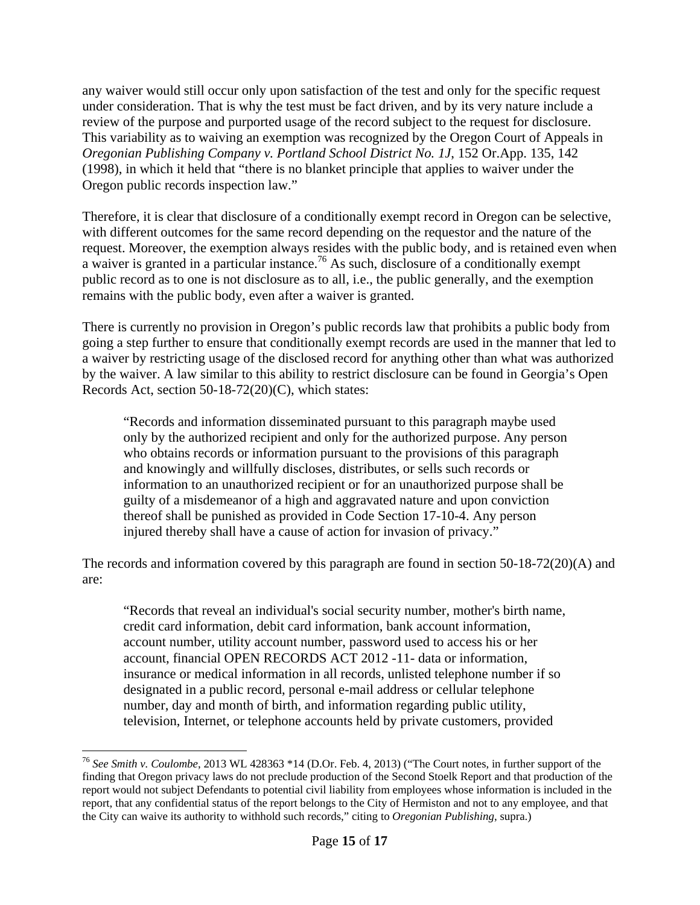any waiver would still occur only upon satisfaction of the test and only for the specific request under consideration. That is why the test must be fact driven, and by its very nature include a review of the purpose and purported usage of the record subject to the request for disclosure. This variability as to waiving an exemption was recognized by the Oregon Court of Appeals in *Oregonian Publishing Company v. Portland School District No. 1J*, 152 Or.App. 135, 142 (1998), in which it held that "there is no blanket principle that applies to waiver under the Oregon public records inspection law."

Therefore, it is clear that disclosure of a conditionally exempt record in Oregon can be selective, with different outcomes for the same record depending on the requestor and the nature of the request. Moreover, the exemption always resides with the public body, and is retained even when a waiver is granted in a particular instance.<sup>76</sup> As such, disclosure of a conditionally exempt public record as to one is not disclosure as to all, i.e., the public generally, and the exemption remains with the public body, even after a waiver is granted.

There is currently no provision in Oregon's public records law that prohibits a public body from going a step further to ensure that conditionally exempt records are used in the manner that led to a waiver by restricting usage of the disclosed record for anything other than what was authorized by the waiver. A law similar to this ability to restrict disclosure can be found in Georgia's Open Records Act, section 50-18-72(20)(C), which states:

"Records and information disseminated pursuant to this paragraph maybe used only by the authorized recipient and only for the authorized purpose. Any person who obtains records or information pursuant to the provisions of this paragraph and knowingly and willfully discloses, distributes, or sells such records or information to an unauthorized recipient or for an unauthorized purpose shall be guilty of a misdemeanor of a high and aggravated nature and upon conviction thereof shall be punished as provided in Code Section 17-10-4. Any person injured thereby shall have a cause of action for invasion of privacy."

The records and information covered by this paragraph are found in section  $50-18-72(20)$ (A) and are:

"Records that reveal an individual's social security number, mother's birth name, credit card information, debit card information, bank account information, account number, utility account number, password used to access his or her account, financial OPEN RECORDS ACT 2012 -11- data or information, insurance or medical information in all records, unlisted telephone number if so designated in a public record, personal e-mail address or cellular telephone number, day and month of birth, and information regarding public utility, television, Internet, or telephone accounts held by private customers, provided

<sup>76</sup> *See Smith v. Coulombe*, 2013 WL 428363 \*14 (D.Or. Feb. 4, 2013) ("The Court notes, in further support of the finding that Oregon privacy laws do not preclude production of the Second Stoelk Report and that production of the report would not subject Defendants to potential civil liability from employees whose information is included in the report, that any confidential status of the report belongs to the City of Hermiston and not to any employee, and that the City can waive its authority to withhold such records," citing to *Oregonian Publishing*, supra.)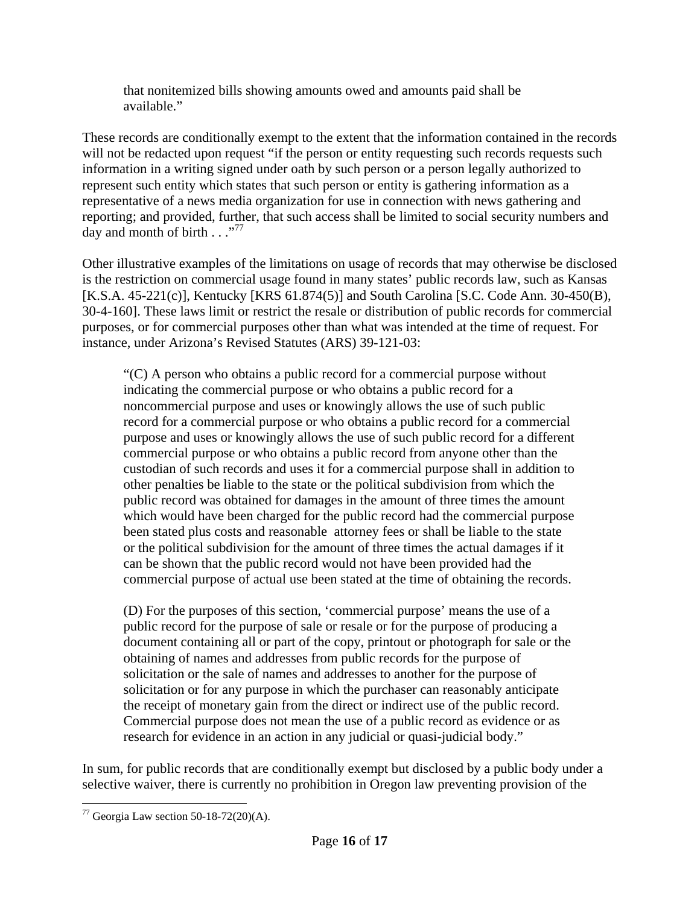that nonitemized bills showing amounts owed and amounts paid shall be available."

These records are conditionally exempt to the extent that the information contained in the records will not be redacted upon request "if the person or entity requesting such records requests such information in a writing signed under oath by such person or a person legally authorized to represent such entity which states that such person or entity is gathering information as a representative of a news media organization for use in connection with news gathering and reporting; and provided, further, that such access shall be limited to social security numbers and day and month of birth  $\ldots$ <sup>77</sup>

Other illustrative examples of the limitations on usage of records that may otherwise be disclosed is the restriction on commercial usage found in many states' public records law, such as Kansas [K.S.A. 45-221(c)], Kentucky [KRS 61.874(5)] and South Carolina [S.C. Code Ann. 30-450(B), 30-4-160]. These laws limit or restrict the resale or distribution of public records for commercial purposes, or for commercial purposes other than what was intended at the time of request. For instance, under Arizona's Revised Statutes (ARS) 39-121-03:

"(C) A person who obtains a public record for a commercial purpose without indicating the commercial purpose or who obtains a public record for a noncommercial purpose and uses or knowingly allows the use of such public record for a commercial purpose or who obtains a public record for a commercial purpose and uses or knowingly allows the use of such public record for a different commercial purpose or who obtains a public record from anyone other than the custodian of such records and uses it for a commercial purpose shall in addition to other penalties be liable to the state or the political subdivision from which the public record was obtained for damages in the amount of three times the amount which would have been charged for the public record had the commercial purpose been stated plus costs and reasonable attorney fees or shall be liable to the state or the political subdivision for the amount of three times the actual damages if it can be shown that the public record would not have been provided had the commercial purpose of actual use been stated at the time of obtaining the records.

(D) For the purposes of this section, 'commercial purpose' means the use of a public record for the purpose of sale or resale or for the purpose of producing a document containing all or part of the copy, printout or photograph for sale or the obtaining of names and addresses from public records for the purpose of solicitation or the sale of names and addresses to another for the purpose of solicitation or for any purpose in which the purchaser can reasonably anticipate the receipt of monetary gain from the direct or indirect use of the public record. Commercial purpose does not mean the use of a public record as evidence or as research for evidence in an action in any judicial or quasi-judicial body."

In sum, for public records that are conditionally exempt but disclosed by a public body under a selective waiver, there is currently no prohibition in Oregon law preventing provision of the

  $77$  Georgia Law section 50-18-72(20)(A).